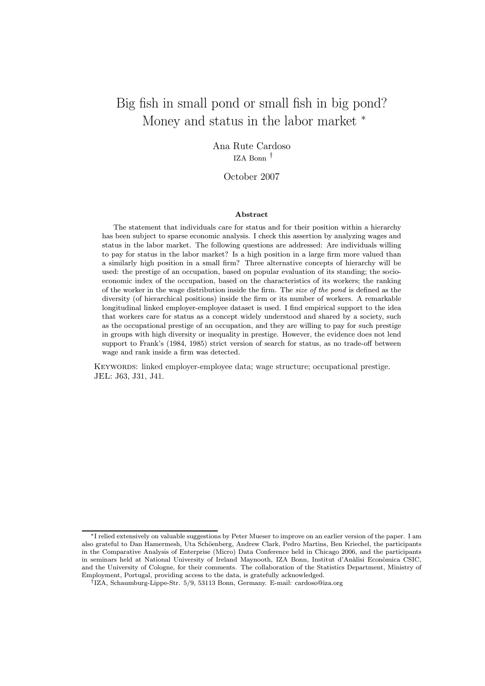# Big fish in small pond or small fish in big pond? Money and status in the labor market  $*$

Ana Rute Cardoso IZA Bonn <sup>⊺</sup>

#### October 2007

#### Abstract

The statement that individuals care for status and for their position within a hierarchy has been subject to sparse economic analysis. I check this assertion by analyzing wages and status in the labor market. The following questions are addressed: Are individuals willing to pay for status in the labor market? Is a high position in a large firm more valued than a similarly high position in a small firm? Three alternative concepts of hierarchy will be used: the prestige of an occupation, based on popular evaluation of its standing; the socioeconomic index of the occupation, based on the characteristics of its workers; the ranking of the worker in the wage distribution inside the firm. The size of the pond is defined as the diversity (of hierarchical positions) inside the firm or its number of workers. A remarkable longitudinal linked employer-employee dataset is used. I find empirical support to the idea that workers care for status as a concept widely understood and shared by a society, such as the occupational prestige of an occupation, and they are willing to pay for such prestige in groups with high diversity or inequality in prestige. However, the evidence does not lend support to Frank's (1984, 1985) strict version of search for status, as no trade-off between wage and rank inside a firm was detected.

Keywords: linked employer-employee data; wage structure; occupational prestige. JEL: J63, J31, J41.

<sup>¤</sup> I relied extensively on valuable suggestions by Peter Mueser to improve on an earlier version of the paper. I am also grateful to Dan Hamermesh, Uta Schöenberg, Andrew Clark, Pedro Martins, Ben Kriechel, the participants in the Comparative Analysis of Enterprise (Micro) Data Conference held in Chicago 2006, and the participants in seminars held at National University of Ireland Maynooth, IZA Bonn, Institut d'Anàlisi Econòmica CSIC, and the University of Cologne, for their comments. The collaboration of the Statistics Department, Ministry of Employment, Portugal, providing access to the data, is gratefully acknowledged.

<sup>&</sup>lt;sup>†</sup>IZA, Schaumburg-Lippe-Str. 5/9, 53113 Bonn, Germany. E-mail: cardoso@iza.org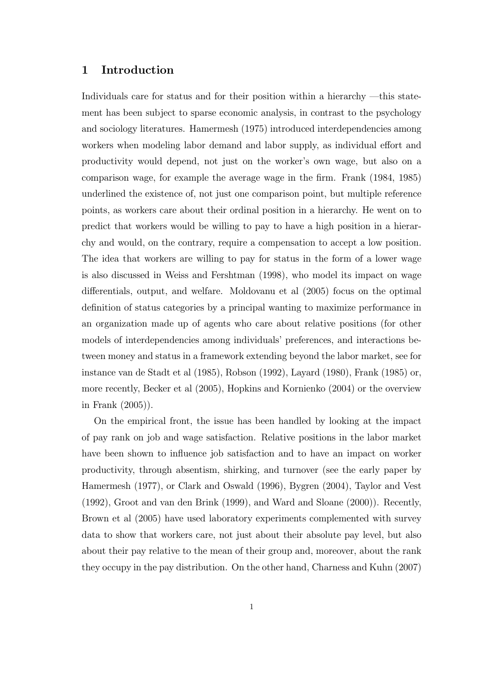# 1 Introduction

Individuals care for status and for their position within a hierarchy  $-\text{this state}$ ment has been subject to sparse economic analysis, in contrast to the psychology and sociology literatures. Hamermesh (1975) introduced interdependencies among workers when modeling labor demand and labor supply, as individual effort and productivity would depend, not just on the worker's own wage, but also on a comparison wage, for example the average wage in the firm. Frank (1984, 1985) underlined the existence of, not just one comparison point, but multiple reference points, as workers care about their ordinal position in a hierarchy. He went on to predict that workers would be willing to pay to have a high position in a hierarchy and would, on the contrary, require a compensation to accept a low position. The idea that workers are willing to pay for status in the form of a lower wage is also discussed in Weiss and Fershtman (1998), who model its impact on wage differentials, output, and welfare. Moldovanu et al  $(2005)$  focus on the optimal definition of status categories by a principal wanting to maximize performance in an organization made up of agents who care about relative positions (for other models of interdependencies among individuals' preferences, and interactions between money and status in a framework extending beyond the labor market, see for instance van de Stadt et al (1985), Robson (1992), Layard (1980), Frank (1985) or, more recently, Becker et al (2005), Hopkins and Kornienko (2004) or the overview in Frank (2005)).

On the empirical front, the issue has been handled by looking at the impact of pay rank on job and wage satisfaction. Relative positions in the labor market have been shown to influence job satisfaction and to have an impact on worker productivity, through absentism, shirking, and turnover (see the early paper by Hamermesh (1977), or Clark and Oswald (1996), Bygren (2004), Taylor and Vest (1992), Groot and van den Brink (1999), and Ward and Sloane (2000)). Recently, Brown et al (2005) have used laboratory experiments complemented with survey data to show that workers care, not just about their absolute pay level, but also about their pay relative to the mean of their group and, moreover, about the rank they occupy in the pay distribution. On the other hand, Charness and Kuhn (2007)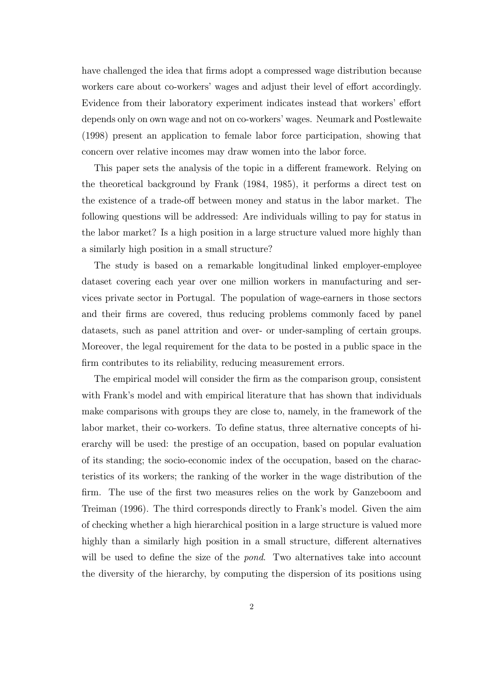have challenged the idea that firms adopt a compressed wage distribution because workers care about co-workers' wages and adjust their level of effort accordingly. Evidence from their laboratory experiment indicates instead that workers' effort depends only on own wage and not on co-workers' wages. Neumark and Postlewaite (1998) present an application to female labor force participation, showing that concern over relative incomes may draw women into the labor force.

This paper sets the analysis of the topic in a different framework. Relying on the theoretical background by Frank (1984, 1985), it performs a direct test on the existence of a trade-off between money and status in the labor market. The following questions will be addressed: Are individuals willing to pay for status in the labor market? Is a high position in a large structure valued more highly than a similarly high position in a small structure?

The study is based on a remarkable longitudinal linked employer-employee dataset covering each year over one million workers in manufacturing and services private sector in Portugal. The population of wage-earners in those sectors and their firms are covered, thus reducing problems commonly faced by panel datasets, such as panel attrition and over- or under-sampling of certain groups. Moreover, the legal requirement for the data to be posted in a public space in the firm contributes to its reliability, reducing measurement errors.

The empirical model will consider the firm as the comparison group, consistent with Frank's model and with empirical literature that has shown that individuals make comparisons with groups they are close to, namely, in the framework of the labor market, their co-workers. To define status, three alternative concepts of hierarchy will be used: the prestige of an occupation, based on popular evaluation of its standing; the socio-economic index of the occupation, based on the characteristics of its workers; the ranking of the worker in the wage distribution of the firm. The use of the first two measures relies on the work by Ganzeboom and Treiman (1996). The third corresponds directly to Frank's model. Given the aim of checking whether a high hierarchical position in a large structure is valued more highly than a similarly high position in a small structure, different alternatives will be used to define the size of the *pond*. Two alternatives take into account the diversity of the hierarchy, by computing the dispersion of its positions using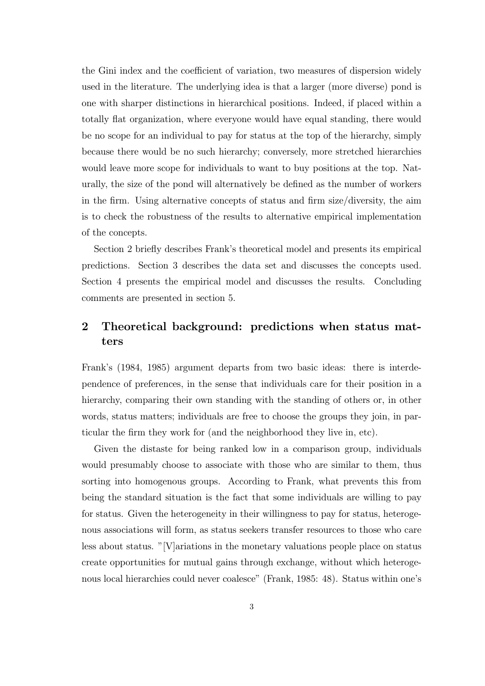the Gini index and the coefficient of variation, two measures of dispersion widely used in the literature. The underlying idea is that a larger (more diverse) pond is one with sharper distinctions in hierarchical positions. Indeed, if placed within a totally flat organization, where everyone would have equal standing, there would be no scope for an individual to pay for status at the top of the hierarchy, simply because there would be no such hierarchy; conversely, more stretched hierarchies would leave more scope for individuals to want to buy positions at the top. Naturally, the size of the pond will alternatively be defined as the number of workers in the firm. Using alternative concepts of status and firm size/diversity, the aim is to check the robustness of the results to alternative empirical implementation of the concepts.

Section 2 briefly describes Frank's theoretical model and presents its empirical predictions. Section 3 describes the data set and discusses the concepts used. Section 4 presents the empirical model and discusses the results. Concluding comments are presented in section 5.

# 2 Theoretical background: predictions when status matters

Frank's (1984, 1985) argument departs from two basic ideas: there is interdependence of preferences, in the sense that individuals care for their position in a hierarchy, comparing their own standing with the standing of others or, in other words, status matters; individuals are free to choose the groups they join, in particular the firm they work for (and the neighborhood they live in, etc).

Given the distaste for being ranked low in a comparison group, individuals would presumably choose to associate with those who are similar to them, thus sorting into homogenous groups. According to Frank, what prevents this from being the standard situation is the fact that some individuals are willing to pay for status. Given the heterogeneity in their willingness to pay for status, heterogenous associations will form, as status seekers transfer resources to those who care less about status. "[V]ariations in the monetary valuations people place on status create opportunities for mutual gains through exchange, without which heterogenous local hierarchies could never coalesce" (Frank, 1985: 48). Status within one's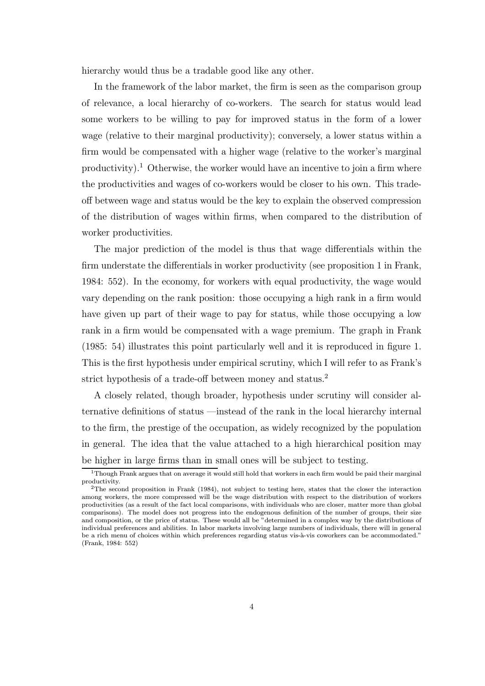hierarchy would thus be a tradable good like any other.

In the framework of the labor market, the firm is seen as the comparison group of relevance, a local hierarchy of co-workers. The search for status would lead some workers to be willing to pay for improved status in the form of a lower wage (relative to their marginal productivity); conversely, a lower status within a firm would be compensated with a higher wage (relative to the worker's marginal  $\text{productivity}$ ).<sup>1</sup> Otherwise, the worker would have an incentive to join a firm where the productivities and wages of co-workers would be closer to his own. This tradeoff between wage and status would be the key to explain the observed compression of the distribution of wages within firms, when compared to the distribution of worker productivities.

The major prediction of the model is thus that wage differentials within the firm understate the differentials in worker productivity (see proposition 1 in Frank, 1984: 552). In the economy, for workers with equal productivity, the wage would vary depending on the rank position: those occupying a high rank in a firm would have given up part of their wage to pay for status, while those occupying a low rank in a firm would be compensated with a wage premium. The graph in Frank  $(1985: 54)$  illustrates this point particularly well and it is reproduced in figure 1. This is the first hypothesis under empirical scrutiny, which I will refer to as Frank's strict hypothesis of a trade-off between money and status.<sup>2</sup>

A closely related, though broader, hypothesis under scrutiny will consider alternative definitions of status —instead of the rank in the local hierarchy internal to the firm, the prestige of the occupation, as widely recognized by the population in general. The idea that the value attached to a high hierarchical position may be higher in large firms than in small ones will be subject to testing.

 $1$ Though Frank argues that on average it would still hold that workers in each firm would be paid their marginal productivity.

 $2$ The second proposition in Frank (1984), not subject to testing here, states that the closer the interaction among workers, the more compressed will be the wage distribution with respect to the distribution of workers productivities (as a result of the fact local comparisons, with individuals who are closer, matter more than global comparisons). The model does not progress into the endogenous definition of the number of groups, their size and composition, or the price of status. These would all be "determined in a complex way by the distributions of individual preferences and abilities. In labor markets involving large numbers of individuals, there will in general be a rich menu of choices within which preferences regarding status vis-à-vis coworkers can be accommodated." (Frank, 1984: 552)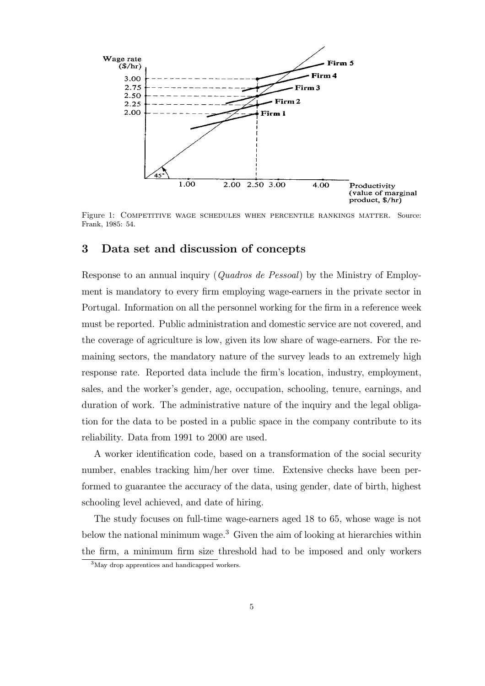

Figure 1: Competitive wage schedules when percentile rankings matter. Source: Frank, 1985: 54.

# 3 Data set and discussion of concepts

Response to an annual inquiry (Quadros de Pessoal) by the Ministry of Employment is mandatory to every firm employing wage-earners in the private sector in Portugal. Information on all the personnel working for the firm in a reference week must be reported. Public administration and domestic service are not covered, and the coverage of agriculture is low, given its low share of wage-earners. For the remaining sectors, the mandatory nature of the survey leads to an extremely high response rate. Reported data include the firm's location, industry, employment, sales, and the worker's gender, age, occupation, schooling, tenure, earnings, and duration of work. The administrative nature of the inquiry and the legal obligation for the data to be posted in a public space in the company contribute to its reliability. Data from 1991 to 2000 are used.

A worker identification code, based on a transformation of the social security number, enables tracking him/her over time. Extensive checks have been performed to guarantee the accuracy of the data, using gender, date of birth, highest schooling level achieved, and date of hiring.

The study focuses on full-time wage-earners aged 18 to 65, whose wage is not below the national minimum wage.<sup>3</sup> Given the aim of looking at hierarchies within the firm, a minimum firm size threshold had to be imposed and only workers

<sup>3</sup>May drop apprentices and handicapped workers.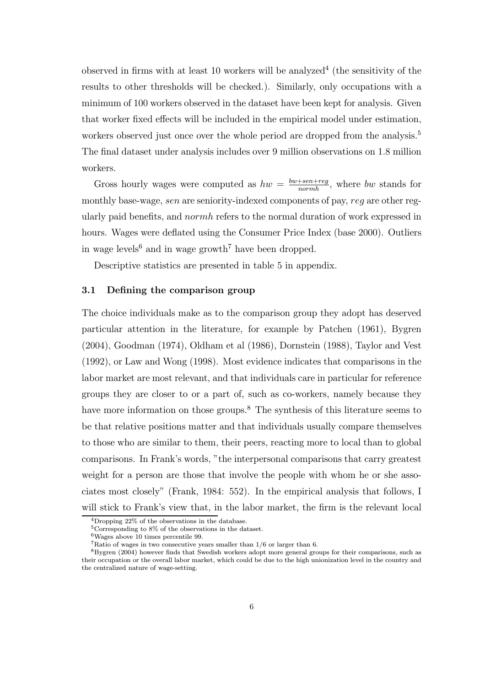observed in firms with at least 10 workers will be analyzed<sup>4</sup> (the sensitivity of the results to other thresholds will be checked.). Similarly, only occupations with a minimum of 100 workers observed in the dataset have been kept for analysis. Given that worker fixed effects will be included in the empirical model under estimation, workers observed just once over the whole period are dropped from the analysis.<sup>5</sup> The final dataset under analysis includes over 9 million observations on 1.8 million workers.

Gross hourly wages were computed as  $hw = \frac{bw+sen+reg}{normh}$  $\frac{+sen+reg}{normh}$ , where bw stands for monthly base-wage, sen are seniority-indexed components of pay, reg are other regularly paid benefits, and *normh* refers to the normal duration of work expressed in hours. Wages were deflated using the Consumer Price Index (base 2000). Outliers in wage levels <sup>6</sup> and in wage growth <sup>7</sup> have been dropped.

Descriptive statistics are presented in table 5 in appendix.

#### 3.1 Defining the comparison group

The choice individuals make as to the comparison group they adopt has deserved particular attention in the literature, for example by Patchen (1961), Bygren (2004), Goodman (1974), Oldham et al (1986), Dornstein (1988), Taylor and Vest (1992), or Law and Wong (1998). Most evidence indicates that comparisons in the labor market are most relevant, and that individuals care in particular for reference groups they are closer to or a part of, such as co-workers, namely because they have more information on those groups.<sup>8</sup> The synthesis of this literature seems to be that relative positions matter and that individuals usually compare themselves to those who are similar to them, their peers, reacting more to local than to global comparisons. In Frank's words, "the interpersonal comparisons that carry greatest weight for a person are those that involve the people with whom he or she associates most closely" (Frank, 1984: 552). In the empirical analysis that follows, I will stick to Frank's view that, in the labor market, the firm is the relevant local

<sup>4</sup>Dropping 22% of the observations in the database.

<sup>5</sup>Corresponding to 8% of the observations in the dataset.

<sup>6</sup>Wages above 10 times percentile 99.

<sup>7</sup>Ratio of wages in two consecutive years smaller than 1/6 or larger than 6.

 $8$ Bygren (2004) however finds that Swedish workers adopt more general groups for their comparisons, such as their occupation or the overall labor market, which could be due to the high unionization level in the country and the centralized nature of wage-setting.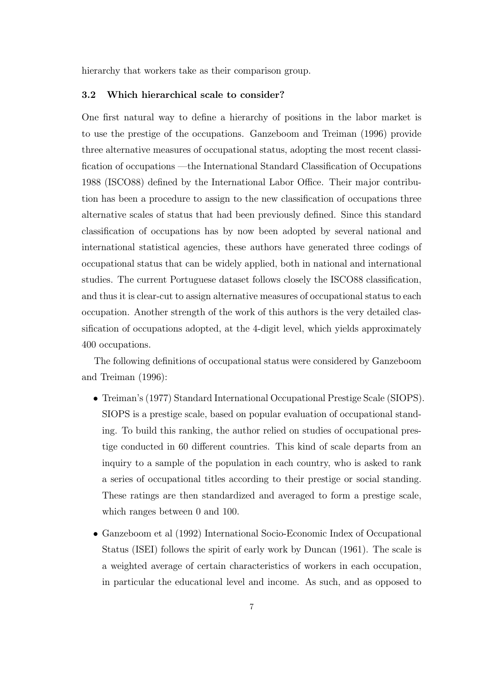hierarchy that workers take as their comparison group.

#### 3.2 Which hierarchical scale to consider?

One first natural way to define a hierarchy of positions in the labor market is to use the prestige of the occupations. Ganzeboom and Treiman (1996) provide three alternative measures of occupational status, adopting the most recent classi fication of occupations —the International Standard Classification of Occupations 1988 (ISCO88) defined by the International Labor Office. Their major contribution has been a procedure to assign to the new classification of occupations three alternative scales of status that had been previously defined. Since this standard classification of occupations has by now been adopted by several national and international statistical agencies, these authors have generated three codings of occupational status that can be widely applied, both in national and international studies. The current Portuguese dataset follows closely the ISCO88 classification, and thus it is clear-cut to assign alternative measures of occupational status to each occupation. Another strength of the work of this authors is the very detailed classification of occupations adopted, at the 4-digit level, which yields approximately 400 occupations.

The following definitions of occupational status were considered by Ganzeboom and Treiman (1996):

- Treiman's (1977) Standard International Occupational Prestige Scale (SIOPS). SIOPS is a prestige scale, based on popular evaluation of occupational standing. To build this ranking, the author relied on studies of occupational prestige conducted in 60 different countries. This kind of scale departs from an inquiry to a sample of the population in each country, who is asked to rank a series of occupational titles according to their prestige or social standing. These ratings are then standardized and averaged to form a prestige scale, which ranges between 0 and 100.
- Ganzeboom et al (1992) International Socio-Economic Index of Occupational Status (ISEI) follows the spirit of early work by Duncan (1961). The scale is a weighted average of certain characteristics of workers in each occupation, in particular the educational level and income. As such, and as opposed to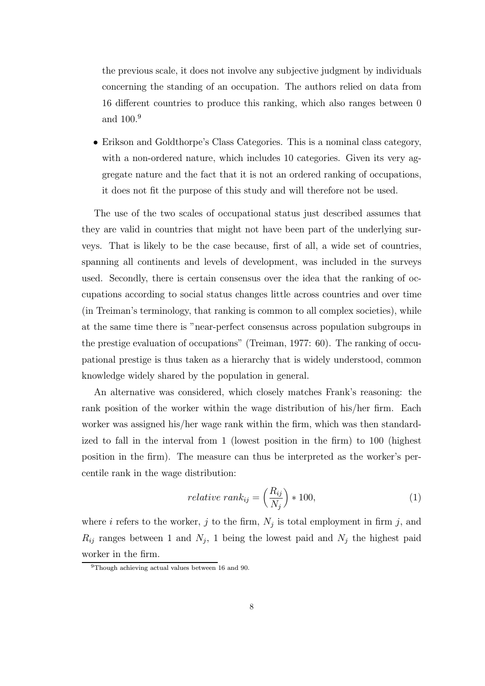the previous scale, it does not involve any subjective judgment by individuals concerning the standing of an occupation. The authors relied on data from 16 different countries to produce this ranking, which also ranges between 0 and 100. 9

• Erikson and Goldthorpe's Class Categories. This is a nominal class category, with a non-ordered nature, which includes 10 categories. Given its very aggregate nature and the fact that it is not an ordered ranking of occupations, it does not fit the purpose of this study and will therefore not be used.

The use of the two scales of occupational status just described assumes that they are valid in countries that might not have been part of the underlying surveys. That is likely to be the case because, first of all, a wide set of countries, spanning all continents and levels of development, was included in the surveys used. Secondly, there is certain consensus over the idea that the ranking of occupations according to social status changes little across countries and over time (in Treiman's terminology, that ranking is common to all complex societies), while at the same time there is "near-perfect consensus across population subgroups in the prestige evaluation of occupations" (Treiman, 1977: 60). The ranking of occupational prestige is thus taken as a hierarchy that is widely understood, common knowledge widely shared by the population in general.

An alternative was considered, which closely matches Frank's reasoning: the rank position of the worker within the wage distribution of his/her firm. Each worker was assigned his/her wage rank within the firm, which was then standardized to fall in the interval from  $1$  (lowest position in the firm) to  $100$  (highest position in the firm). The measure can thus be interpreted as the worker's percentile rank in the wage distribution:

$$
relative\ rank_{ij} = \left(\frac{R_{ij}}{N_j}\right) * 100,\tag{1}
$$

where *i* refers to the worker, *j* to the firm,  $N_j$  is total employment in firm *j*, and  $R_{ij}$  ranges between 1 and  $N_j$ , 1 being the lowest paid and  $N_j$  the highest paid worker in the firm.

<sup>9</sup>Though achieving actual values between 16 and 90.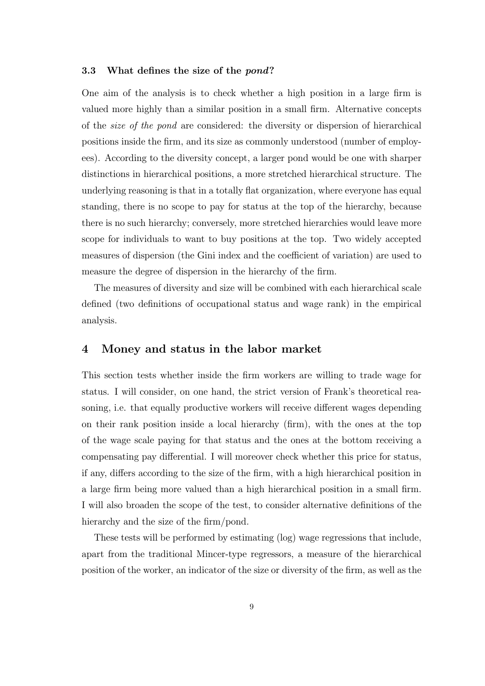#### 3.3 What defines the size of the *pond*?

One aim of the analysis is to check whether a high position in a large firm is valued more highly than a similar position in a small firm. Alternative concepts of the size of the pond are considered: the diversity or dispersion of hierarchical positions inside the firm, and its size as commonly understood (number of employees). According to the diversity concept, a larger pond would be one with sharper distinctions in hierarchical positions, a more stretched hierarchical structure. The underlying reasoning is that in a totally flat organization, where everyone has equal standing, there is no scope to pay for status at the top of the hierarchy, because there is no such hierarchy; conversely, more stretched hierarchies would leave more scope for individuals to want to buy positions at the top. Two widely accepted measures of dispersion (the Gini index and the coefficient of variation) are used to measure the degree of dispersion in the hierarchy of the firm.

The measures of diversity and size will be combined with each hierarchical scale defined (two definitions of occupational status and wage rank) in the empirical analysis.

## 4 Money and status in the labor market

This section tests whether inside the firm workers are willing to trade wage for status. I will consider, on one hand, the strict version of Frank's theoretical reasoning, i.e. that equally productive workers will receive different wages depending on their rank position inside a local hierarchy  $(firm)$ , with the ones at the top of the wage scale paying for that status and the ones at the bottom receiving a compensating pay differential. I will moreover check whether this price for status, if any, differs according to the size of the firm, with a high hierarchical position in a large firm being more valued than a high hierarchical position in a small firm. I will also broaden the scope of the test, to consider alternative definitions of the hierarchy and the size of the firm/pond.

These tests will be performed by estimating (log) wage regressions that include, apart from the traditional Mincer-type regressors, a measure of the hierarchical position of the worker, an indicator of the size or diversity of the firm, as well as the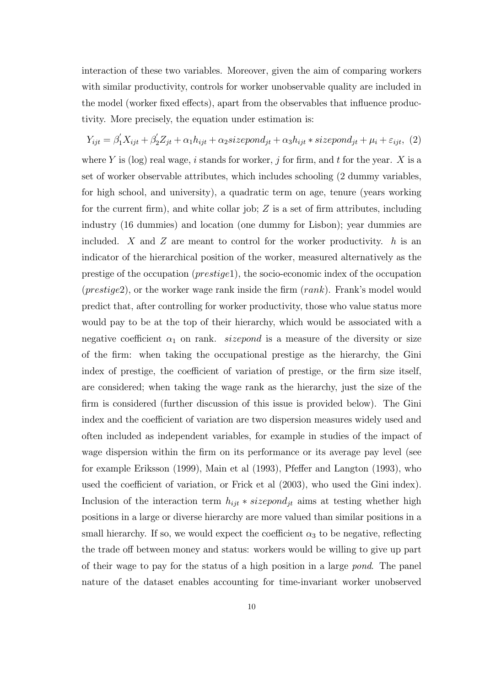interaction of these two variables. Moreover, given the aim of comparing workers with similar productivity, controls for worker unobservable quality are included in the model (worker fixed effects), apart from the observables that influence productivity. More precisely, the equation under estimation is:

 $Y_{ijt} = \beta_1' X_{ijt} + \beta_2' Z_{jt} + \alpha_1 h_{ijt} + \alpha_2 sizepond_{jt} + \alpha_3 h_{ijt} * sizepond_{jt} + \mu_i + \varepsilon_{ijt}, (2)$ where Y is (log) real wage, i stands for worker, j for firm, and t for the year. X is a set of worker observable attributes, which includes schooling (2 dummy variables, for high school, and university), a quadratic term on age, tenure (years working for the current firm), and white collar job;  $Z$  is a set of firm attributes, including industry (16 dummies) and location (one dummy for Lisbon); year dummies are included. X and Z are meant to control for the worker productivity.  $h$  is an indicator of the hierarchical position of the worker, measured alternatively as the prestige of the occupation (prestige1), the socio-economic index of the occupation ( $prestige2$ ), or the worker wage rank inside the firm  $(rank)$ . Frank's model would predict that, after controlling for worker productivity, those who value status more would pay to be at the top of their hierarchy, which would be associated with a negative coefficient  $\alpha_1$  on rank. *sizepond* is a measure of the diversity or size of the firm: when taking the occupational prestige as the hierarchy, the Gini index of prestige, the coefficient of variation of prestige, or the firm size itself, are considered; when taking the wage rank as the hierarchy, just the size of the firm is considered (further discussion of this issue is provided below). The Gini index and the coefficient of variation are two dispersion measures widely used and often included as independent variables, for example in studies of the impact of wage dispersion within the firm on its performance or its average pay level (see for example Eriksson  $(1999)$ , Main et al  $(1993)$ , Pfeffer and Langton  $(1993)$ , who used the coefficient of variation, or Frick et al  $(2003)$ , who used the Gini index). Inclusion of the interaction term  $h_{ijt} * sizepond_{jt}$  aims at testing whether high positions in a large or diverse hierarchy are more valued than similar positions in a small hierarchy. If so, we would expect the coefficient  $\alpha_3$  to be negative, reflecting the trade off between money and status: workers would be willing to give up part of their wage to pay for the status of a high position in a large pond. The panel nature of the dataset enables accounting for time-invariant worker unobserved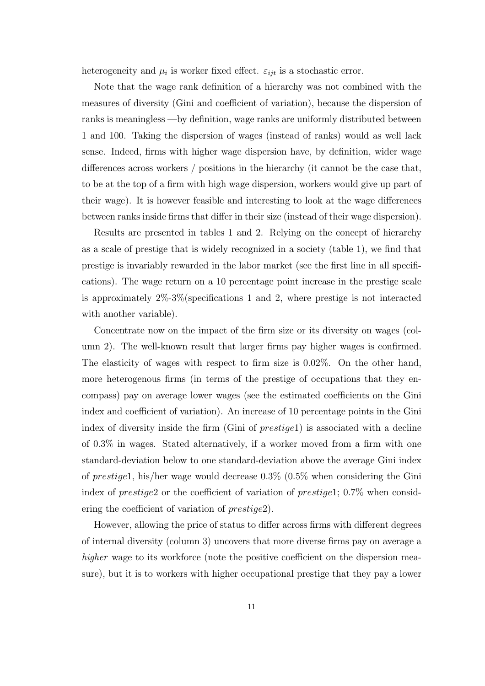heterogeneity and  $\mu_i$  is worker fixed effect.  $\varepsilon_{ijt}$  is a stochastic error.

Note that the wage rank definition of a hierarchy was not combined with the measures of diversity (Gini and coefficient of variation), because the dispersion of ranks is meaningless —by definition, wage ranks are uniformly distributed between 1 and 100. Taking the dispersion of wages (instead of ranks) would as well lack sense. Indeed, firms with higher wage dispersion have, by definition, wider wage differences across workers  $/$  positions in the hierarchy (it cannot be the case that, to be at the top of a firm with high wage dispersion, workers would give up part of their wage). It is however feasible and interesting to look at the wage differences between ranks inside firms that differ in their size (instead of their wage dispersion).

Results are presented in tables 1 and 2. Relying on the concept of hierarchy as a scale of prestige that is widely recognized in a society (table  $1$ ), we find that prestige is invariably rewarded in the labor market (see the first line in all specifications). The wage return on a 10 percentage point increase in the prestige scale is approximately  $2\% - 3\%$  (specifications 1 and 2, where prestige is not interacted with another variable).

Concentrate now on the impact of the firm size or its diversity on wages (column 2). The well-known result that larger firms pay higher wages is confirmed. The elasticity of wages with respect to firm size is  $0.02\%$ . On the other hand, more heterogenous firms (in terms of the prestige of occupations that they encompass) pay on average lower wages (see the estimated coefficients on the Gini index and coefficient of variation). An increase of 10 percentage points in the Gini index of diversity inside the firm (Gini of  $prestigel$ ) is associated with a decline of  $0.3\%$  in wages. Stated alternatively, if a worker moved from a firm with one standard-deviation below to one standard-deviation above the average Gini index of prestige1, his/her wage would decrease 0.3% (0.5% when considering the Gini index of prestige2 or the coefficient of variation of prestige1;  $0.7\%$  when considering the coefficient of variation of  $prestige2$ ).

However, allowing the price of status to differ across firms with different degrees of internal diversity (column 3) uncovers that more diverse firms pay on average a higher wage to its workforce (note the positive coefficient on the dispersion measure), but it is to workers with higher occupational prestige that they pay a lower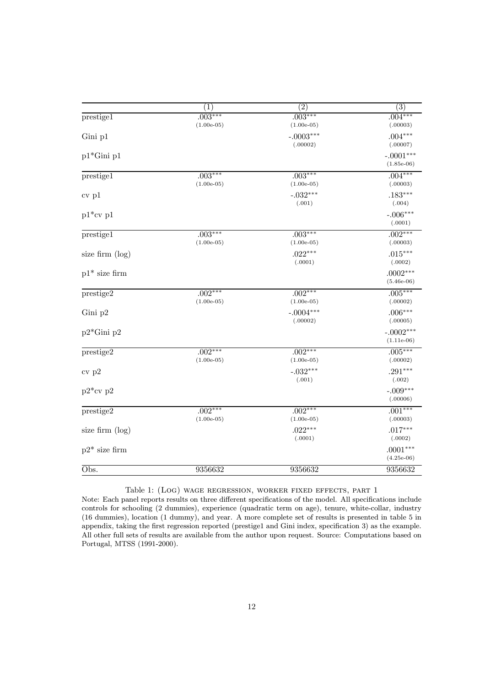|                             | (1)                       | $\overline{(2)}$          | $\overline{(3)}$            |
|-----------------------------|---------------------------|---------------------------|-----------------------------|
| prestige1                   | $.003***$<br>$(1.00e-05)$ | $.003***$<br>$(1.00e-05)$ | $.004***$<br>(.00003)       |
| Gini p1                     |                           | $-.0003***$<br>(.00002)   | $.004***$<br>(.00007)       |
| $p1*Gini p1$                |                           |                           | $-.0001***$<br>$(1.85e-06)$ |
| prestige1                   | $.003***$<br>$(1.00e-05)$ | $.003***$<br>$(1.00e-05)$ | $.004***$<br>(.00003)       |
| $cv_{p1}$                   |                           | $-.032***$<br>(.001)      | $.183***$<br>(.004)         |
| $p1*cv p1$                  |                           |                           | $-.006***$<br>(.0001)       |
| prestige1                   | $.003***$<br>$(1.00e-05)$ | $.003***$<br>$(1.00e-05)$ | $.002***$<br>(.00003)       |
| size firm $(\log)$          |                           | $.022***$<br>(.0001)      | $.015***$<br>(.0002)        |
| $p1*$ size firm             |                           |                           | $.0002***$<br>$(5.46e-06)$  |
| prestige2                   | $.002***$<br>$(1.00e-05)$ | $.002***$<br>$(1.00e-05)$ | $.005***$<br>(.00002)       |
| Gini p2                     |                           | $-.0004***$<br>(.00002)   | $.006***$<br>(.00005)       |
| $p2*Gini p2$                |                           |                           | $-.0002***$<br>$(1.11e-06)$ |
| prestige2                   | $.002***$<br>$(1.00e-05)$ | $.002***$<br>$(1.00e-05)$ | $.005***$<br>(.00002)       |
| cv p2                       |                           | $-.032***$<br>(.001)      | $.291***$<br>(.002)         |
| $p2*cv p2$                  |                           |                           | $-.009***$<br>(.00006)      |
| prestige2                   | $.002***$<br>$(1.00e-05)$ | $.002***$<br>$(1.00e-05)$ | $.001***$<br>(.00003)       |
| size firm $(\log)$          |                           | $.022***$<br>(.0001)      | $.017***$<br>(.0002)        |
| $p2*$ size firm             |                           |                           | $.0001***$<br>$(4.25e-06)$  |
| $\overline{\mathrm{Obs}}$ . | 9356632                   | 9356632                   | 9356632                     |

Table 1: (Log) wage regression, worker fixed effects, part 1

Note: Each panel reports results on three different specifications of the model. All specifications include controls for schooling (2 dummies), experience (quadratic term on age), tenure, white-collar, industry (16 dummies), location (1 dummy), and year. A more complete set of results is presented in table 5 in appendix, taking the first regression reported (prestige1 and Gini index, specification 3) as the example. All other full sets of results are available from the author upon request. Source: Computations based on Portugal, MTSS (1991-2000).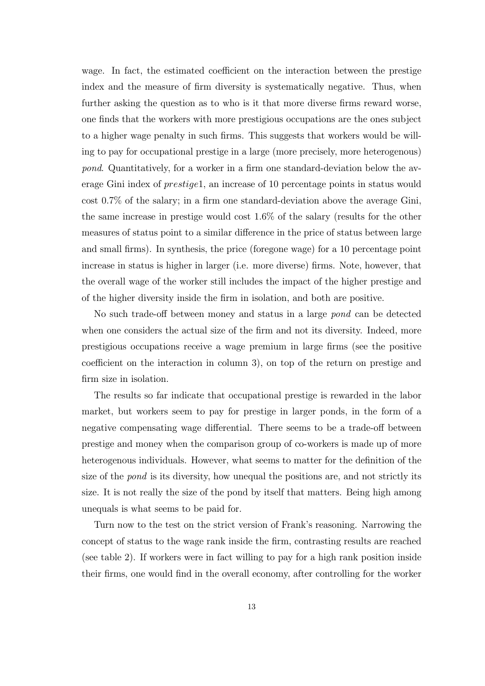wage. In fact, the estimated coefficient on the interaction between the prestige index and the measure of firm diversity is systematically negative. Thus, when further asking the question as to who is it that more diverse firms reward worse, one finds that the workers with more prestigious occupations are the ones subject to a higher wage penalty in such firms. This suggests that workers would be willing to pay for occupational prestige in a large (more precisely, more heterogenous) pond. Quantitatively, for a worker in a firm one standard-deviation below the average Gini index of prestige1, an increase of 10 percentage points in status would cost  $0.7\%$  of the salary; in a firm one standard-deviation above the average Gini, the same increase in prestige would cost 1.6% of the salary (results for the other measures of status point to a similar difference in the price of status between large and small firms). In synthesis, the price (foregone wage) for a 10 percentage point increase in status is higher in larger (i.e. more diverse) firms. Note, however, that the overall wage of the worker still includes the impact of the higher prestige and of the higher diversity inside the firm in isolation, and both are positive.

No such trade-off between money and status in a large *pond* can be detected when one considers the actual size of the firm and not its diversity. Indeed, more prestigious occupations receive a wage premium in large firms (see the positive coefficient on the interaction in column 3), on top of the return on prestige and firm size in isolation.

The results so far indicate that occupational prestige is rewarded in the labor market, but workers seem to pay for prestige in larger ponds, in the form of a negative compensating wage differential. There seems to be a trade-off between prestige and money when the comparison group of co-workers is made up of more heterogenous individuals. However, what seems to matter for the definition of the size of the pond is its diversity, how unequal the positions are, and not strictly its size. It is not really the size of the pond by itself that matters. Being high among unequals is what seems to be paid for.

Turn now to the test on the strict version of Frank's reasoning. Narrowing the concept of status to the wage rank inside the firm, contrasting results are reached (see table 2). If workers were in fact willing to pay for a high rank position inside their firms, one would find in the overall economy, after controlling for the worker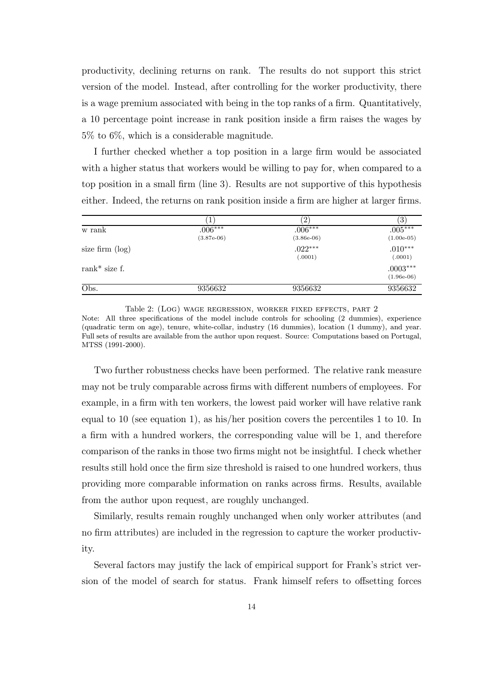productivity, declining returns on rank. The results do not support this strict version of the model. Instead, after controlling for the worker productivity, there is a wage premium associated with being in the top ranks of a firm. Quantitatively, a 10 percentage point increase in rank position inside a firm raises the wages by 5% to 6%, which is a considerable magnitude.

I further checked whether a top position in a large firm would be associated with a higher status that workers would be willing to pay for, when compared to a top position in a small firm (line 3). Results are not supportive of this hypothesis either. Indeed, the returns on rank position inside a firm are higher at larger firms.

|                    | 1                         | $\left( 2\right)$         | $^{\prime 3}$              |
|--------------------|---------------------------|---------------------------|----------------------------|
| w rank             | $.006***$<br>$(3.87e-06)$ | $.006***$<br>$(3.86e-06)$ | $.005***$<br>$(1.00e-05)$  |
| size firm $(\log)$ |                           | $.022***$<br>(.0001)      | $.010***$<br>(.0001)       |
| rank $*$ size f.   |                           |                           | $.0003***$<br>$(1.96e-06)$ |
| Obs.               | 9356632                   | 9356632                   | 9356632                    |

Table 2: (Log) wage regression, worker fixed effects, part 2 Note: All three specifications of the model include controls for schooling (2 dummies), experience (quadratic term on age), tenure, white-collar, industry (16 dummies), location (1 dummy), and year. Full sets of results are available from the author upon request. Source: Computations based on Portugal, MTSS (1991-2000).

Two further robustness checks have been performed. The relative rank measure may not be truly comparable across firms with different numbers of employees. For example, in a firm with ten workers, the lowest paid worker will have relative rank equal to 10 (see equation 1), as his/her position covers the percentiles 1 to 10. In a firm with a hundred workers, the corresponding value will be 1, and therefore comparison of the ranks in those two firms might not be insightful. I check whether results still hold once the firm size threshold is raised to one hundred workers, thus providing more comparable information on ranks across firms. Results, available from the author upon request, are roughly unchanged.

Similarly, results remain roughly unchanged when only worker attributes (and no firm attributes) are included in the regression to capture the worker productivity.

Several factors may justify the lack of empirical support for Frank's strict version of the model of search for status. Frank himself refers to offsetting forces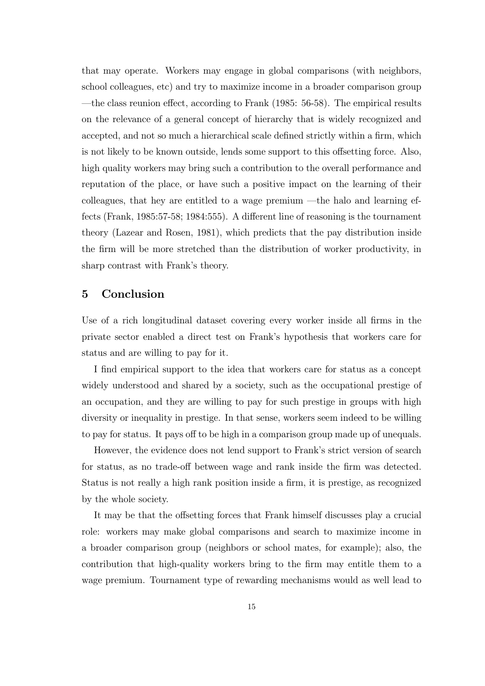that may operate. Workers may engage in global comparisons (with neighbors, school colleagues, etc) and try to maximize income in a broader comparison group  $-$ the class reunion effect, according to Frank (1985: 56-58). The empirical results on the relevance of a general concept of hierarchy that is widely recognized and accepted, and not so much a hierarchical scale defined strictly within a firm, which is not likely to be known outside, lends some support to this offsetting force. Also, high quality workers may bring such a contribution to the overall performance and reputation of the place, or have such a positive impact on the learning of their colleagues, that hey are entitled to a wage premium  $-\text{the halo and learning ef-}$ fects (Frank, 1985:57-58; 1984:555). A different line of reasoning is the tournament theory (Lazear and Rosen, 1981), which predicts that the pay distribution inside the firm will be more stretched than the distribution of worker productivity, in sharp contrast with Frank's theory.

## 5 Conclusion

Use of a rich longitudinal dataset covering every worker inside all firms in the private sector enabled a direct test on Frank's hypothesis that workers care for status and are willing to pay for it.

I find empirical support to the idea that workers care for status as a concept widely understood and shared by a society, such as the occupational prestige of an occupation, and they are willing to pay for such prestige in groups with high diversity or inequality in prestige. In that sense, workers seem indeed to be willing to pay for status. It pays off to be high in a comparison group made up of unequals.

However, the evidence does not lend support to Frank's strict version of search for status, as no trade-off between wage and rank inside the firm was detected. Status is not really a high rank position inside a firm, it is prestige, as recognized by the whole society.

It may be that the offsetting forces that Frank himself discusses play a crucial role: workers may make global comparisons and search to maximize income in a broader comparison group (neighbors or school mates, for example); also, the contribution that high-quality workers bring to the firm may entitle them to a wage premium. Tournament type of rewarding mechanisms would as well lead to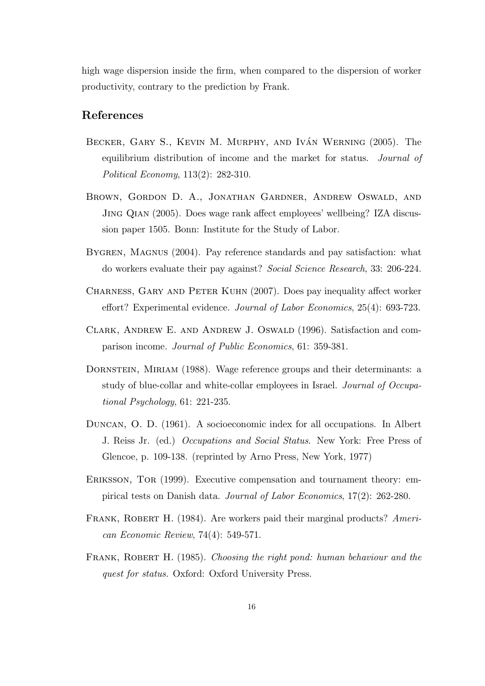high wage dispersion inside the firm, when compared to the dispersion of worker productivity, contrary to the prediction by Frank.

## References

- BECKER, GARY S., KEVIN M. MURPHY, AND IVAN WERNING (2005). The equilibrium distribution of income and the market for status. Journal of Political Economy, 113(2): 282-310.
- Brown, Gordon D. A., Jonathan Gardner, Andrew Oswald, and JING QIAN (2005). Does wage rank affect employees' wellbeing? IZA discussion paper 1505. Bonn: Institute for the Study of Labor.
- BYGREN, MAGNUS (2004). Pay reference standards and pay satisfaction: what do workers evaluate their pay against? Social Science Research, 33: 206-224.
- CHARNESS, GARY AND PETER KUHN (2007). Does pay inequality affect worker effort? Experimental evidence. Journal of Labor Economics,  $25(4)$ : 693-723.
- Clark, Andrew E. and Andrew J. Oswald (1996). Satisfaction and comparison income. Journal of Public Economics, 61: 359-381.
- DORNSTEIN, MIRIAM (1988). Wage reference groups and their determinants: a study of blue-collar and white-collar employees in Israel. Journal of Occupational Psychology, 61: 221-235.
- Duncan, O. D. (1961). A socioeconomic index for all occupations. In Albert J. Reiss Jr. (ed.) Occupations and Social Status. New York: Free Press of Glencoe, p. 109-138. (reprinted by Arno Press, New York, 1977)
- Eriksson, Tor (1999). Executive compensation and tournament theory: empirical tests on Danish data. Journal of Labor Economics, 17(2): 262-280.
- FRANK, ROBERT H. (1984). Are workers paid their marginal products? American Economic Review, 74(4): 549-571.
- FRANK, ROBERT H. (1985). Choosing the right pond: human behaviour and the quest for status. Oxford: Oxford University Press.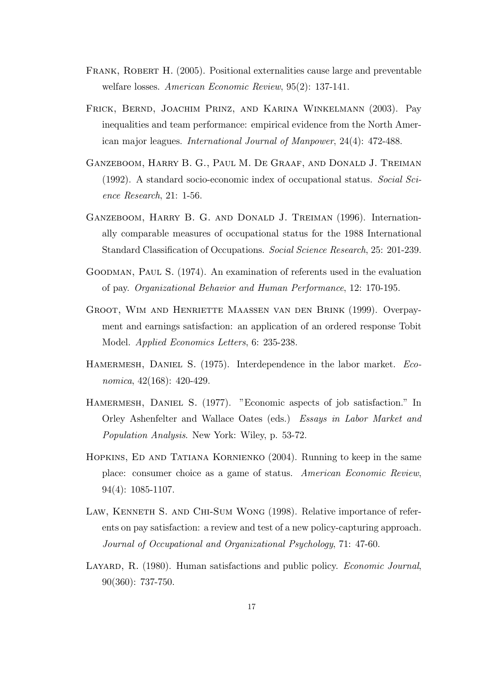- FRANK, ROBERT H. (2005). Positional externalities cause large and preventable welfare losses. American Economic Review, 95(2): 137-141.
- Frick, Bernd, Joachim Prinz, and Karina Winkelmann (2003). Pay inequalities and team performance: empirical evidence from the North American major leagues. International Journal of Manpower, 24(4): 472-488.
- Ganzeboom, Harry B. G., Paul M. De Graaf, and Donald J. Treiman (1992). A standard socio-economic index of occupational status. Social Science Research, 21: 1-56.
- GANZEBOOM, HARRY B. G. AND DONALD J. TREIMAN (1996). Internationally comparable measures of occupational status for the 1988 International Standard Classification of Occupations. Social Science Research, 25: 201-239.
- Goodman, Paul S. (1974). An examination of referents used in the evaluation of pay. Organizational Behavior and Human Performance, 12: 170-195.
- Groot, Wim and Henriette Maassen van den Brink (1999). Overpayment and earnings satisfaction: an application of an ordered response Tobit Model. Applied Economics Letters, 6: 235-238.
- HAMERMESH, DANIEL S. (1975). Interdependence in the labor market. Economica, 42(168): 420-429.
- HAMERMESH, DANIEL S. (1977). "Economic aspects of job satisfaction." In Orley Ashenfelter and Wallace Oates (eds.) Essays in Labor Market and Population Analysis. New York: Wiley, p. 53-72.
- Hopkins, Ed and Tatiana Kornienko (2004). Running to keep in the same place: consumer choice as a game of status. American Economic Review, 94(4): 1085-1107.
- Law, Kenneth S. and Chi-Sum Wong (1998). Relative importance of referents on pay satisfaction: a review and test of a new policy-capturing approach. Journal of Occupational and Organizational Psychology, 71: 47-60.
- LAYARD, R. (1980). Human satisfactions and public policy. *Economic Journal*, 90(360): 737-750.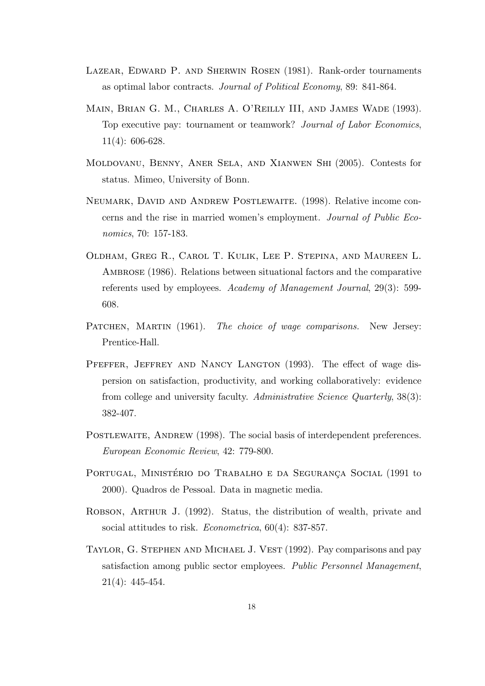- Lazear, Edward P. and Sherwin Rosen (1981). Rank-order tournaments as optimal labor contracts. Journal of Political Economy, 89: 841-864.
- Main, Brian G. M., Charles A. O'Reilly III, and James Wade (1993). Top executive pay: tournament or teamwork? Journal of Labor Economics, 11(4): 606-628.
- Moldovanu, Benny, Aner Sela, and Xianwen Shi (2005). Contests for status. Mimeo, University of Bonn.
- Neumark, David and Andrew Postlewaite. (1998). Relative income concerns and the rise in married women's employment. Journal of Public Economics, 70: 157-183.
- Oldham, Greg R., Carol T. Kulik, Lee P. Stepina, and Maureen L. AMBROSE (1986). Relations between situational factors and the comparative referents used by employees. Academy of Management Journal, 29(3): 599- 608.
- PATCHEN, MARTIN (1961). The choice of wage comparisons. New Jersey: Prentice-Hall.
- PFEFFER, JEFFREY AND NANCY LANGTON (1993). The effect of wage dispersion on satisfaction, productivity, and working collaboratively: evidence from college and university faculty. Administrative Science Quarterly, 38(3): 382-407.
- POSTLEWAITE, ANDREW (1998). The social basis of interdependent preferences. European Economic Review, 42: 779-800.
- PORTUGAL, MINISTÉRIO DO TRABALHO E DA SEGURANÇA SOCIAL (1991 to 2000). Quadros de Pessoal. Data in magnetic media.
- Robson, Arthur J. (1992). Status, the distribution of wealth, private and social attitudes to risk. *Econometrica*, 60(4): 837-857.
- Taylor, G. Stephen and Michael J. Vest (1992). Pay comparisons and pay satisfaction among public sector employees. Public Personnel Management, 21(4): 445-454.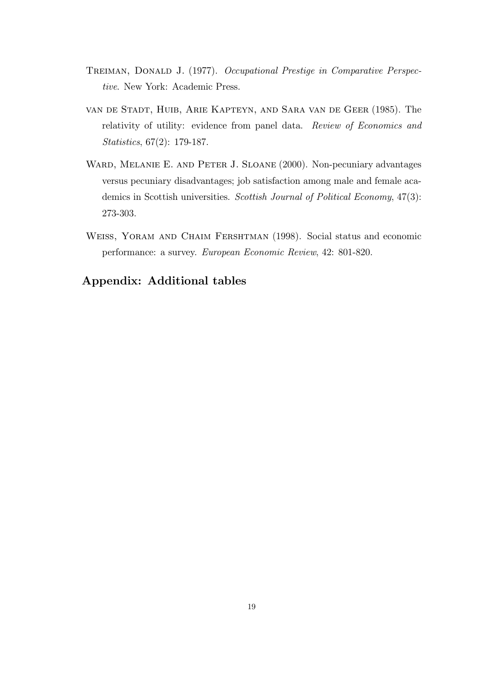- TREIMAN, DONALD J. (1977). Occupational Prestige in Comparative Perspective. New York: Academic Press.
- van de Stadt, Huib, Arie Kapteyn, and Sara van de Geer (1985). The relativity of utility: evidence from panel data. Review of Economics and Statistics, 67(2): 179-187.
- WARD, MELANIE E. AND PETER J. SLOANE (2000). Non-pecuniary advantages versus pecuniary disadvantages; job satisfaction among male and female academics in Scottish universities. Scottish Journal of Political Economy, 47(3): 273-303.
- Weiss, Yoram and Chaim Fershtman (1998). Social status and economic performance: a survey. European Economic Review, 42: 801-820.

# Appendix: Additional tables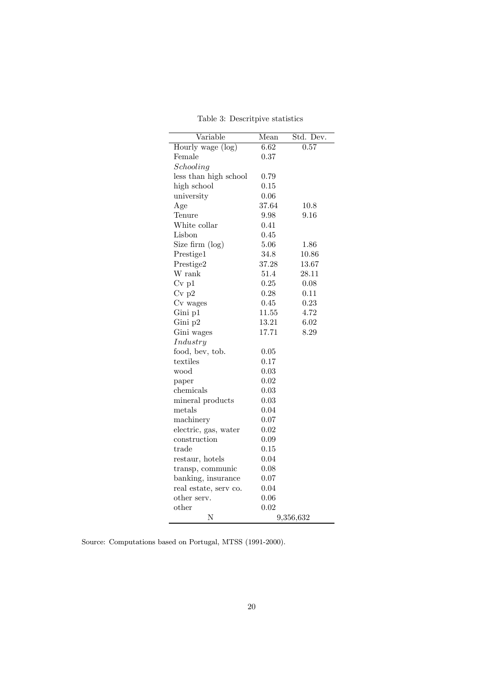| Variable              | Mean  | Std. Dev.         |
|-----------------------|-------|-------------------|
| Hourly wage (log)     | 6.62  | $\overline{0.57}$ |
| Female                | 0.37  |                   |
| Schooling             |       |                   |
| less than high school | 0.79  |                   |
| high school           | 0.15  |                   |
| university            | 0.06  |                   |
| Age                   | 37.64 | 10.8              |
| Tenure                | 9.98  | 9.16              |
| White collar          | 0.41  |                   |
| Lisbon                | 0.45  |                   |
| Size firm (log)       | 5.06  | 1.86              |
| Prestige1             | 34.8  | 10.86             |
| Prestige2             | 37.28 | 13.67             |
| W rank                | 51.4  | 28.11             |
| $Cv$ p $1$            | 0.25  | 0.08              |
| $Cv$ p2               | 0.28  | 0.11              |
| Cv wages              | 0.45  | 0.23              |
| Gini p1               | 11.55 | 4.72              |
| Gini p2               | 13.21 | 6.02              |
| Gini wages            | 17.71 | 8.29              |
| Industry              |       |                   |
| food, bev, tob.       | 0.05  |                   |
| textiles              | 0.17  |                   |
| wood                  | 0.03  |                   |
| paper                 | 0.02  |                   |
| chemicals             | 0.03  |                   |
| mineral products      | 0.03  |                   |
| metals                | 0.04  |                   |
| machinery             | 0.07  |                   |
| electric, gas, water  | 0.02  |                   |
| construction          | 0.09  |                   |
| $_{\rm trade}$        | 0.15  |                   |
| restaur, hotels       | 0.04  |                   |
| transp, communic      | 0.08  |                   |
| banking, insurance    | 0.07  |                   |
| real estate, serv co. | 0.04  |                   |
| other serv.           | 0.06  |                   |
| other                 | 0.02  |                   |
| N                     |       | 9,356,632         |

Table 3: Descritpive statistics

Source: Computations based on Portugal, MTSS (1991-2000).